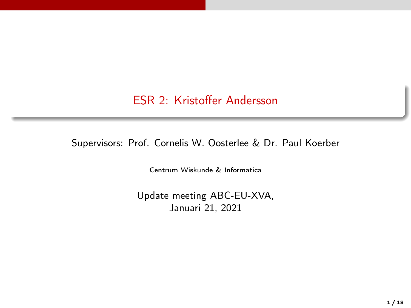ESR 2: Kristoffer Andersson

Supervisors: Prof. Cornelis W. Oosterlee & Dr. Paul Koerber

Centrum Wiskunde & Informatica

Update meeting ABC-EU-XVA, Januari 21, 2021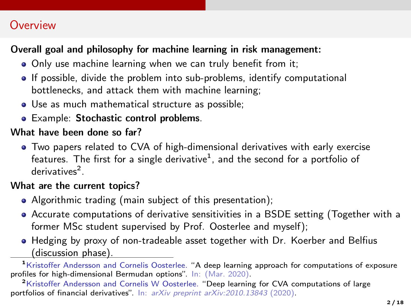## **Overview**

### Overall goal and philosophy for machine learning in risk management:

- Only use machine learning when we can truly benefit from it;
- If possible, divide the problem into sub-problems, identify computational bottlenecks, and attack them with machine learning;
- Use as much mathematical structure as possible;
- **•** Example: Stochastic control problems.

### What have been done so far?

Two papers related to CVA of high-dimensional derivatives with early exercise features. The first for a single derivative $^1$ , and the second for a portfolio of derivatives<sup>2</sup>.

#### What are the current topics?

- Algorithmic trading (main subject of this presentation);
- Accurate computations of derivative sensitivities in a BSDE setting (Together with a former MSc student supervised by Prof. Oosterlee and myself);
- Hedging by proxy of non-tradeable asset together with Dr. Koerber and Belfius (discussion phase).

<sup>1</sup>Kristoffer Andersson and Cornelis Oosterlee. "A deep learning approach for computations of exposure profiles for high-dimensional Bermudan options". In: (Mar. 2020).

<sup>2</sup>Kristoffer Andersson and Cornelis W Oosterlee. "Deep learning for CVA computations of large portfolios of financial derivatives". In: arXiv preprint arXiv:2010.13843 (2020).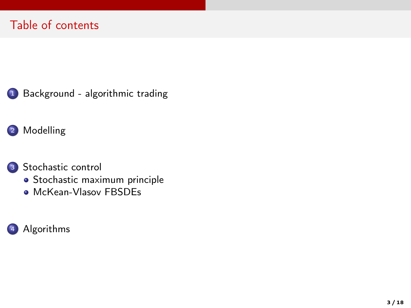<sup>1</sup> [Background - algorithmic trading](#page-3-0)

### 2 [Modelling](#page-7-0)

### <sup>3</sup> [Stochastic control](#page-9-0)

- · [Stochastic maximum principle](#page-12-0)
- [McKean-Vlasov FBSDEs](#page-14-0)

### <sup>4</sup> [Algorithms](#page-15-0)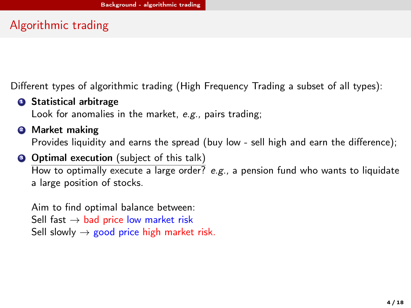# <span id="page-3-0"></span>Algorithmic trading

Different types of algorithmic trading (High Frequency Trading a subset of all types):

**3 Statistical arbitrage** 

Look for anomalies in the market, e.g., pairs trading;

**2** Market making

Provides liquidity and earns the spread (buy low - sell high and earn the difference);

#### **3** Optimal execution (subject of this talk)

How to optimally execute a large order? e.g., a pension fund who wants to liquidate a large position of stocks.

Aim to find optimal balance between: Sell fast  $\rightarrow$  bad price low market risk Sell slowly  $\rightarrow$  good price high market risk.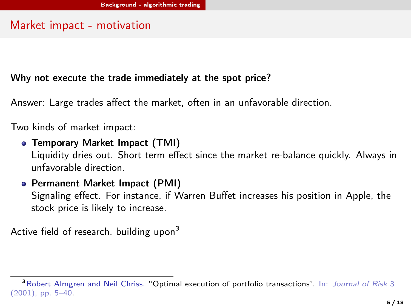## Market impact - motivation

#### Why not execute the trade immediately at the spot price?

Answer: Large trades affect the market, often in an unfavorable direction.

Two kinds of market impact:

**• Temporary Market Impact (TMI)** 

Liquidity dries out. Short term effect since the market re-balance quickly. Always in unfavorable direction.

### Permanent Market Impact (PMI)

Signaling effect. For instance, if Warren Buffet increases his position in Apple, the stock price is likely to increase.

Active field of research, building upon<sup>3</sup>

<sup>&</sup>lt;sup>3</sup>Robert Almgren and Neil Chriss. "Optimal execution of portfolio transactions". In: Journal of Risk 3 (2001), pp. 5–40.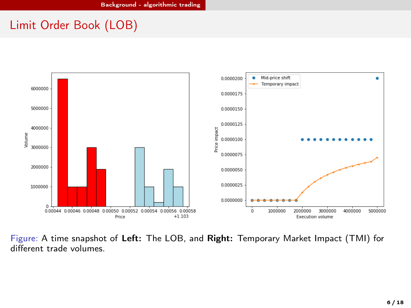# Limit Order Book (LOB)



Figure: A time snapshot of Left: The LOB, and Right: Temporary Market Impact (TMI) for different trade volumes.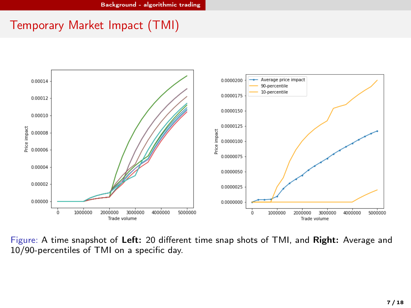# Temporary Market Impact (TMI)



Figure: A time snapshot of Left: 20 different time snap shots of TMI, and Right: Average and 10/90-percentiles of TMI on a specific day.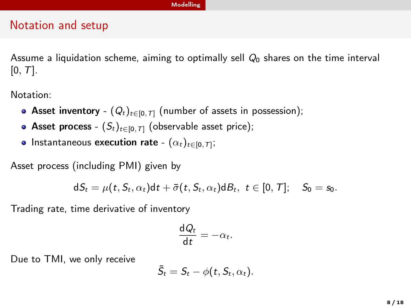#### [Modelling](#page-7-0)

### <span id="page-7-0"></span>Notation and setup

Assume a liquidation scheme, aiming to optimally sell  $Q_0$  shares on the time interval  $[0, T]$ .

Notation:

- Asset inventory  $(Q_t)_{t\in[0,T]}$  (number of assets in possession);
- Asset process  $(S_t)_{t\in[0,T]}$  (observable asset price);
- Instantaneous **execution rate**  $(\alpha_t)_{t\in[0,\mathcal{T}]};$

Asset process (including PMI) given by

$$
dS_t = \mu(t, S_t, \alpha_t)dt + \bar{\sigma}(t, S_t, \alpha_t)dB_t, t \in [0, T]; \quad S_0 = s_0.
$$

Trading rate, time derivative of inventory

$$
\frac{\mathrm{d}Q_t}{\mathrm{d}t}=-\alpha_t.
$$

Due to TMI, we only receive

$$
\tilde{S}_t = S_t - \phi(t, S_t, \alpha_t).
$$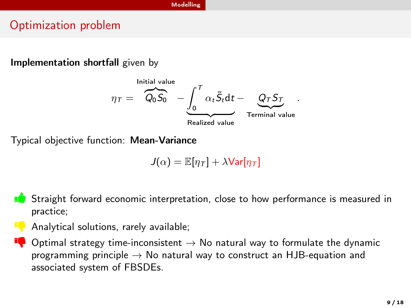#### [Modelling](#page-7-0)

## Optimization problem

#### Implementation shortfall given by



Typical objective function: Mean-Variance

$$
J(\alpha) = \mathbb{E}[\eta_{\mathcal{T}}] + \lambda \text{Var}[\eta_{\mathcal{T}}]
$$



practice;

Analytical solutions, rarely available;

**Optimal strategy time-inconsistent**  $\rightarrow$  No natural way to formulate the dynamic programming principle  $\rightarrow$  No natural way to construct an HJB-equation and associated system of FBSDEs.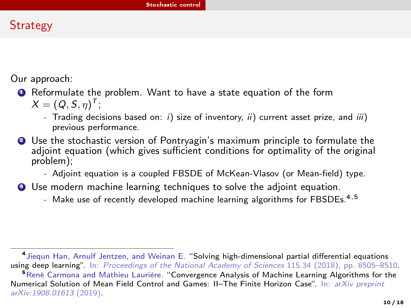# <span id="page-9-0"></span>**Strategy**

Our approach:

# **1** Reformulate the problem. Want to have a state equation of the form

 $X = (Q, S, \eta)^T;$ 

- Trading decisions based on: i) size of inventory, ii) current asset prize, and iii) previous performance.
- <sup>2</sup> Use the stochastic version of Pontryagin's maximum principle to formulate the adjoint equation (which gives sufficient conditions for optimality of the original problem);
	- Adjoint equation is a coupled FBSDE of McKean-Vlasov (or Mean-field) type.
- **3** Use modern machine learning techniques to solve the adjoint equation.
	- Make use of recently developed machine learning algorithms for FBSDEs.<sup>4,5</sup>

<sup>4</sup> Jiequn Han, Arnulf Jentzen, and Weinan E. "Solving high-dimensional partial differential equations using deep learning". In: Proceedings of the National Academy of Sciences 115.34 (2018), pp. 8505-8510.

<sup>&</sup>lt;sup>5</sup>René Carmona and Mathieu Laurière. "Convergence Analysis of Machine Learning Algorithms for the Numerical Solution of Mean Field Control and Games: Il-The Finite Horizon Case". In: arXiv preprint arXiv:1908.01613 (2019).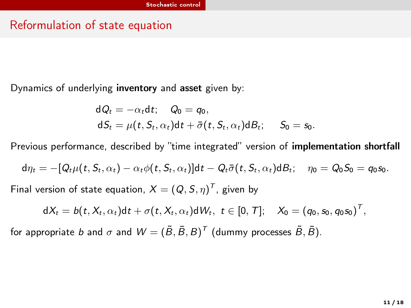### Reformulation of state equation

Dynamics of underlying inventory and asset given by:

$$
dQ_t = -\alpha_t dt; \quad Q_0 = q_0,
$$
  

$$
dS_t = \mu(t, S_t, \alpha_t) dt + \overline{\sigma}(t, S_t, \alpha_t) dB_t; \quad S_0 = s_0.
$$

Previous performance, described by "time integrated" version of implementation shortfall

$$
d\eta_t = -[Q_t\mu(t, S_t, \alpha_t) - \alpha_t\phi(t, S_t, \alpha_t)]dt - Q_t\bar{\sigma}(t, S_t, \alpha_t)dB_t; \quad \eta_0 = Q_0S_0 = q_0s_0.
$$

Final version of state equation,  $X=(Q,S,\eta)^T$ , given by

$$
dX_t = b(t, X_t, \alpha_t)dt + \sigma(t, X_t, \alpha_t)dW_t, t \in [0, T]; \quad X_0 = (q_0, s_0, q_0 s_0)^T,
$$

for appropriate  $b$  and  $\sigma$  and  $\mathcal{W}=(\tilde{B},\bar{B},B)^{\mathcal{T}}$  (dummy processes  $\tilde{B},\bar{B}$ ).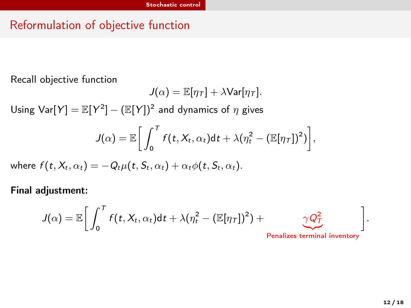# Reformulation of objective function

Recall objective function

$$
J(\alpha) = \mathbb{E}[\eta_{\tau}] + \lambda \text{Var}[\eta_{\tau}].
$$

Using  $\textsf{Var}[Y] = \mathbb{E}[Y^2] - (\mathbb{E}[Y])^2$  and dynamics of  $\eta$  gives

$$
J(\alpha) = \mathbb{E}\bigg[\int_0^T f(t, X_t, \alpha_t)dt + \lambda(\eta_t^2 - (\mathbb{E}[\eta_T])^2)\bigg],
$$

where  $f(t, X_t, \alpha_t) = -Q_t \mu(t, S_t, \alpha_t) + \alpha_t \phi(t, S_t, \alpha_t)$ .

Final adjustment:

$$
J(\alpha) = \mathbb{E}\bigg[\int_0^T f(t, X_t, \alpha_t)dt + \lambda(\eta_t^2 - (\mathbb{E}[\eta_\mathcal{T}])^2) + \underbrace{\gamma Q_\mathcal{T}^2}_{\text{Penalizes terminal inventory}}\bigg].
$$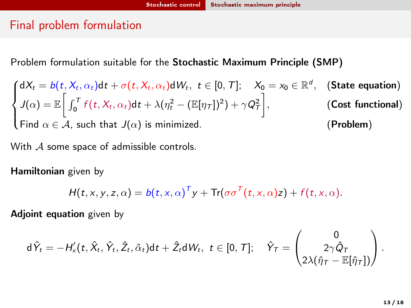# <span id="page-12-0"></span>Final problem formulation

Problem formulation suitable for the Stochastic Maximum Principle (SMP)

$$
\begin{cases}\ndX_t = b(t, X_t, \alpha_t)dt + \sigma(t, X_t, \alpha_t)dW_t, \ t \in [0, T]; \quad X_0 = x_0 \in \mathbb{R}^d, & \text{(State equation)} \\
J(\alpha) = \mathbb{E}\bigg[\int_0^T f(t, X_t, \alpha_t)dt + \lambda(\eta_t^2 - (\mathbb{E}[\eta_T])^2) + \gamma Q_T^2\bigg], & \text{(Cost functional)} \\
\text{Find } \alpha \in \mathcal{A}, \text{ such that } J(\alpha) \text{ is minimized.} & \text{(Problem)}\n\end{cases}
$$

With  $A$  some space of admissible controls.

Hamiltonian given by

$$
H(t, x, y, z, \alpha) = b(t, x, \alpha)^{T} y + \text{Tr}(\sigma \sigma^{T}(t, x, \alpha)z) + f(t, x, \alpha).
$$

Adjoint equation given by

$$
\textup{d}\hat{Y}_t=-H'_x(t,\hat{X}_t,\hat{Y}_t,\hat{Z}_t,\hat{\alpha}_t)\textup{d} t+\hat{Z}_t\textup{d} W_t,\ t\in[0,\mathcal{T}];\quad \hat{Y}_\mathcal{T}=\begin{pmatrix} 0\\ 2\gamma\hat{Q}_\mathcal{T}\\ 2\lambda(\hat{\eta}_\mathcal{T}-\mathbb{E}[\hat{\eta}_\mathcal{T}])\end{pmatrix}.
$$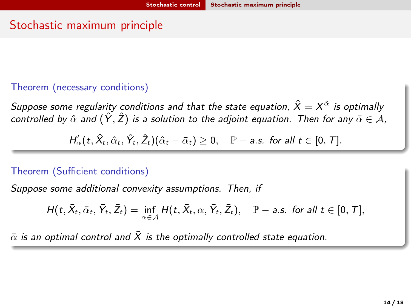# Stochastic maximum principle

#### Theorem (necessary conditions)

Suppose some regularity conditions and that the state equation,  $\hat{X}=X^{\hat{\alpha}}$  is optimally controlled by  $\hat{\alpha}$  and  $(\hat{Y}, \hat{Z})$  is a solution to the adjoint equation. Then for any  $\bar{\alpha} \in A$ ,

 $H_{\alpha}^{\prime}(t, \hat{X}_{t}, \hat{\alpha}_{t}, \hat{Y}_{t}, \hat{Z}_{t})(\hat{\alpha}_{t}-\bar{\alpha}_{t})\geq 0, \quad \mathbb{P}-\textit{a.s.} \textit{ for all } t\in [0,\mathcal{T}].$ 

#### Theorem (Sufficient conditions)

Suppose some additional convexity assumptions. Then, if

$$
H(t, \bar{X}_t, \bar{\alpha}_t, \bar{Y}_t, \bar{Z}_t) = \inf_{\alpha \in \mathcal{A}} H(t, \bar{X}_t, \alpha, \bar{Y}_t, \bar{Z}_t), \quad \mathbb{P}-\text{a.s. for all } t \in [0, T],
$$

 $\bar{\alpha}$  is an optimal control and  $\bar{X}$  is the optimally controlled state equation.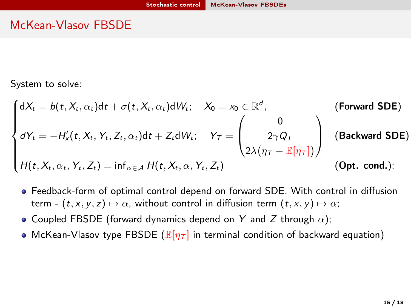### <span id="page-14-0"></span>McKean-Vlasov FBSDE

System to solve:

$$
\begin{cases}\ndX_t = b(t, X_t, \alpha_t)dt + \sigma(t, X_t, \alpha_t)dW_t; & X_0 = x_0 \in \mathbb{R}^d, \\
dY_t = -H'_x(t, X_t, Y_t, Z_t, \alpha_t)dt + Z_t dW_t; & Y_T = \begin{pmatrix} 0 \\
2\gamma Q_T \\
2\lambda(\eta_T - \mathbb{E}[\eta_T])\end{pmatrix} \text{ (Backward SDE)} \\
H(t, X_t, \alpha_t, Y_t, Z_t) = \inf_{\alpha \in \mathcal{A}} H(t, X_t, \alpha, Y_t, Z_t) \text{ (Opt. cond.)}\n\end{cases}
$$

- Feedback-form of optimal control depend on forward SDE. With control in diffusion term -  $(t, x, y, z) \mapsto \alpha$ , without control in diffusion term  $(t, x, y) \mapsto \alpha$ ;
- Coupled FBSDE (forward dynamics depend on Y and Z through  $\alpha$ );
- McKean-Vlasov type FBSDE ( $\mathbb{E}[\eta_T]$  in terminal condition of backward equation)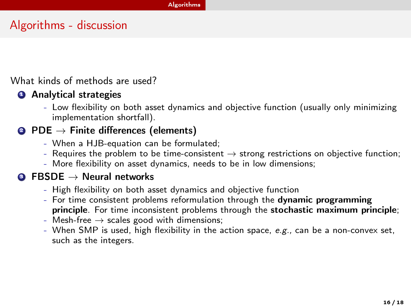# <span id="page-15-0"></span>Algorithms - discussion

What kinds of methods are used?

#### **4** Analytical strategies

- Low flexibility on both asset dynamics and objective function (usually only minimizing implementation shortfall).

### **2** PDE  $\rightarrow$  Finite differences (elements)

- When a HJB-equation can be formulated;
- Requires the problem to be time-consistent  $\rightarrow$  strong restrictions on objective function;
- More flexibility on asset dynamics, needs to be in low dimensions;

#### $\bullet$  FBSDE  $\rightarrow$  Neural networks

- High flexibility on both asset dynamics and objective function
- For time consistent problems reformulation through the dynamic programming principle. For time inconsistent problems through the stochastic maximum principle;
- Mesh-free  $\rightarrow$  scales good with dimensions;
- When SMP is used, high flexibility in the action space,  $e.g.,$  can be a non-convex set, such as the integers.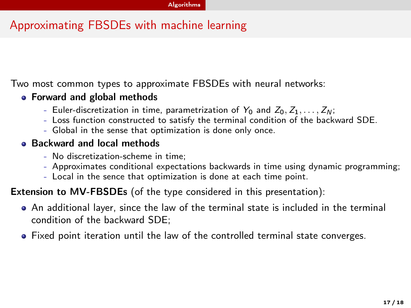# Approximating FBSDEs with machine learning

Two most common types to approximate FBSDEs with neural networks:

#### **• Forward and global methods**

- Euler-discretization in time, parametrization of  $Y_0$  and  $Z_0, Z_1, \ldots, Z_N$ ;
- Loss function constructed to satisfy the terminal condition of the backward SDE.
- Global in the sense that optimization is done only once.

#### **Backward and local methods**

- No discretization-scheme in time;
- Approximates conditional expectations backwards in time using dynamic programming;
- Local in the sence that optimization is done at each time point.

Extension to MV-FBSDEs (of the type considered in this presentation):

- An additional layer, since the law of the terminal state is included in the terminal condition of the backward SDE;
- Fixed point iteration until the law of the controlled terminal state converges.